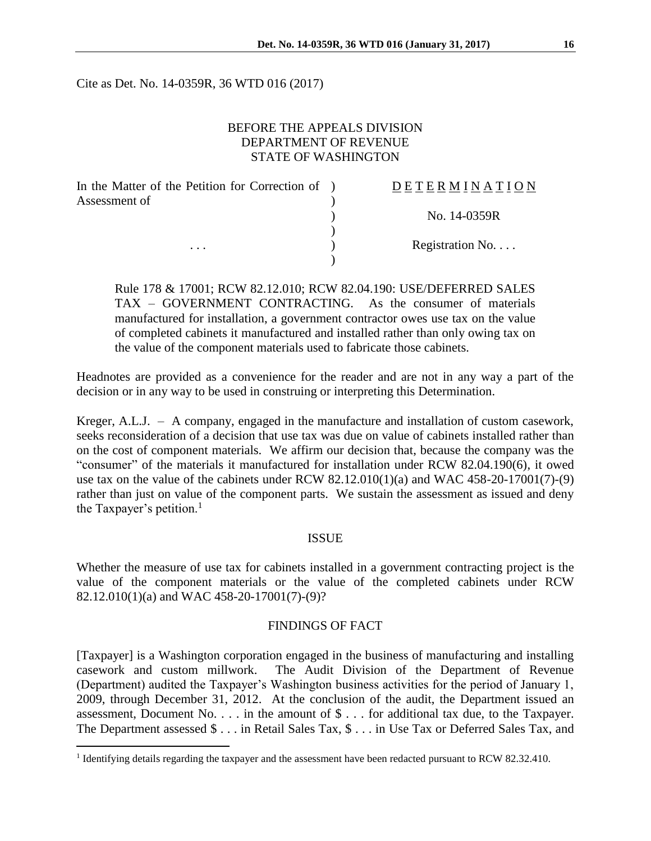Cite as Det. No. 14-0359R, 36 WTD 016 (2017)

## BEFORE THE APPEALS DIVISION DEPARTMENT OF REVENUE STATE OF WASHINGTON

| In the Matter of the Petition for Correction of ) | DETERMINATION    |
|---------------------------------------------------|------------------|
| Assessment of                                     |                  |
|                                                   | No. 14-0359R     |
|                                                   |                  |
| $\cdots$                                          | Registration No. |
|                                                   |                  |

Rule 178 & 17001; RCW 82.12.010; RCW 82.04.190: USE/DEFERRED SALES TAX – GOVERNMENT CONTRACTING. As the consumer of materials manufactured for installation, a government contractor owes use tax on the value of completed cabinets it manufactured and installed rather than only owing tax on the value of the component materials used to fabricate those cabinets.

Headnotes are provided as a convenience for the reader and are not in any way a part of the decision or in any way to be used in construing or interpreting this Determination.

Kreger, A.L.J. – A company, engaged in the manufacture and installation of custom casework, seeks reconsideration of a decision that use tax was due on value of cabinets installed rather than on the cost of component materials. We affirm our decision that, because the company was the "consumer" of the materials it manufactured for installation under RCW 82.04.190(6), it owed use tax on the value of the cabinets under RCW  $82.12.010(1)(a)$  and WAC 458-20-17001(7)-(9) rather than just on value of the component parts. We sustain the assessment as issued and deny the Taxpayer's petition.<sup>1</sup>

## ISSUE

Whether the measure of use tax for cabinets installed in a government contracting project is the value of the component materials or the value of the completed cabinets under RCW 82.12.010(1)(a) and WAC 458-20-17001(7)-(9)?

#### FINDINGS OF FACT

[Taxpayer] is a Washington corporation engaged in the business of manufacturing and installing casework and custom millwork. The Audit Division of the Department of Revenue (Department) audited the Taxpayer's Washington business activities for the period of January 1, 2009, through December 31, 2012. At the conclusion of the audit, the Department issued an assessment, Document No. . . . in the amount of \$ . . . for additional tax due, to the Taxpayer. The Department assessed \$ . . . in Retail Sales Tax, \$ . . . in Use Tax or Deferred Sales Tax, and

 $\overline{a}$ 

<sup>&</sup>lt;sup>1</sup> Identifying details regarding the taxpayer and the assessment have been redacted pursuant to RCW 82.32.410.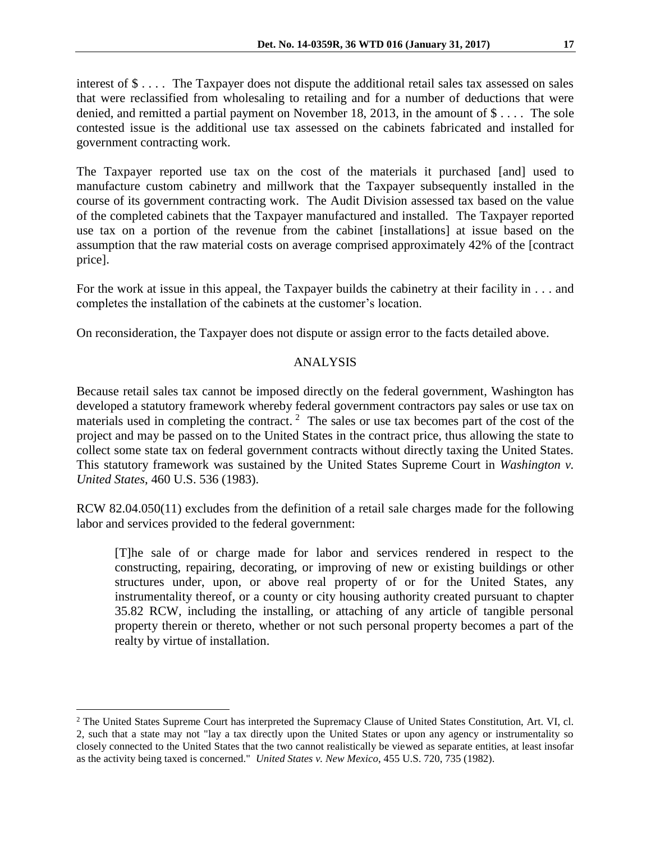interest of \$ . . . . The Taxpayer does not dispute the additional retail sales tax assessed on sales that were reclassified from wholesaling to retailing and for a number of deductions that were denied, and remitted a partial payment on November 18, 2013, in the amount of \$ . . . . The sole contested issue is the additional use tax assessed on the cabinets fabricated and installed for government contracting work.

The Taxpayer reported use tax on the cost of the materials it purchased [and] used to manufacture custom cabinetry and millwork that the Taxpayer subsequently installed in the course of its government contracting work. The Audit Division assessed tax based on the value of the completed cabinets that the Taxpayer manufactured and installed. The Taxpayer reported use tax on a portion of the revenue from the cabinet [installations] at issue based on the assumption that the raw material costs on average comprised approximately 42% of the [contract price].

For the work at issue in this appeal, the Taxpayer builds the cabinetry at their facility in . . . and completes the installation of the cabinets at the customer's location.

On reconsideration, the Taxpayer does not dispute or assign error to the facts detailed above.

# ANALYSIS

Because retail sales tax cannot be imposed directly on the federal government, Washington has developed a statutory framework whereby federal government contractors pay sales or use tax on materials used in completing the contract.<sup>2</sup> The sales or use tax becomes part of the cost of the project and may be passed on to the United States in the contract price, thus allowing the state to collect some state tax on federal government contracts without directly taxing the United States. This statutory framework was sustained by the United States Supreme Court in *Washington v. United States*, 460 U.S. 536 (1983).

RCW 82.04.050(11) excludes from the definition of a retail sale charges made for the following labor and services provided to the federal government:

[T]he sale of or charge made for labor and services rendered in respect to the constructing, repairing, decorating, or improving of new or existing buildings or other structures under, upon, or above real property of or for the United States, any instrumentality thereof, or a county or city housing authority created pursuant to chapter 35.82 RCW, including the installing, or attaching of any article of tangible personal property therein or thereto, whether or not such personal property becomes a part of the realty by virtue of installation.

 $\overline{a}$ 

<sup>&</sup>lt;sup>2</sup> The United States Supreme Court has interpreted the Supremacy Clause of United States Constitution, Art. VI, cl. 2, such that a state may not "lay a tax directly upon the United States or upon any agency or instrumentality so closely connected to the United States that the two cannot realistically be viewed as separate entities, at least insofar as the activity being taxed is concerned." *United States v. New Mexico*, 455 U.S. 720, 735 (1982).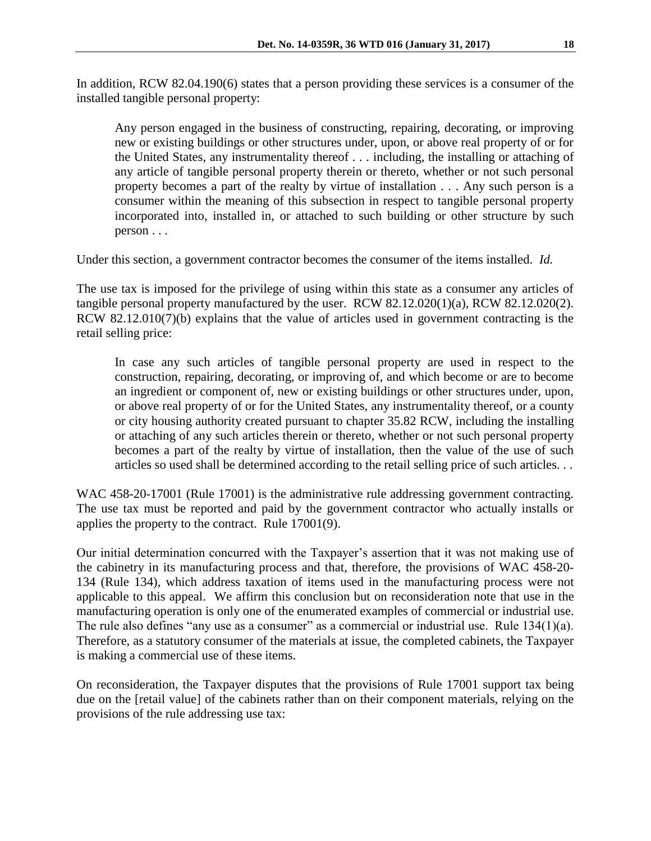In addition, RCW 82.04.190(6) states that a person providing these services is a consumer of the installed tangible personal property:

Any person engaged in the business of constructing, repairing, decorating, or improving new or existing buildings or other structures under, upon, or above real property of or for the United States, any instrumentality thereof . . . including, the installing or attaching of any article of tangible personal property therein or thereto, whether or not such personal property becomes a part of the realty by virtue of installation . . . Any such person is a consumer within the meaning of this subsection in respect to tangible personal property incorporated into, installed in, or attached to such building or other structure by such person . . .

Under this section, a government contractor becomes the consumer of the items installed. *Id.* 

The use tax is imposed for the privilege of using within this state as a consumer any articles of tangible personal property manufactured by the user. RCW 82.12.020(1)(a), RCW 82.12.020(2). RCW 82.12.010(7)(b) explains that the value of articles used in government contracting is the retail selling price:

In case any such articles of tangible personal property are used in respect to the construction, repairing, decorating, or improving of, and which become or are to become an ingredient or component of, new or existing buildings or other structures under, upon, or above real property of or for the United States, any instrumentality thereof, or a county or city housing authority created pursuant to chapter 35.82 RCW, including the installing or attaching of any such articles therein or thereto, whether or not such personal property becomes a part of the realty by virtue of installation, then the value of the use of such articles so used shall be determined according to the retail selling price of such articles. . .

WAC 458-20-17001 (Rule 17001) is the administrative rule addressing government contracting. The use tax must be reported and paid by the government contractor who actually installs or applies the property to the contract. Rule 17001(9).

Our initial determination concurred with the Taxpayer's assertion that it was not making use of the cabinetry in its manufacturing process and that, therefore, the provisions of WAC 458-20- 134 (Rule 134), which address taxation of items used in the manufacturing process were not applicable to this appeal. We affirm this conclusion but on reconsideration note that use in the manufacturing operation is only one of the enumerated examples of commercial or industrial use. The rule also defines "any use as a consumer" as a commercial or industrial use. Rule 134(1)(a). Therefore, as a statutory consumer of the materials at issue, the completed cabinets, the Taxpayer is making a commercial use of these items.

On reconsideration, the Taxpayer disputes that the provisions of Rule 17001 support tax being due on the [retail value] of the cabinets rather than on their component materials, relying on the provisions of the rule addressing use tax: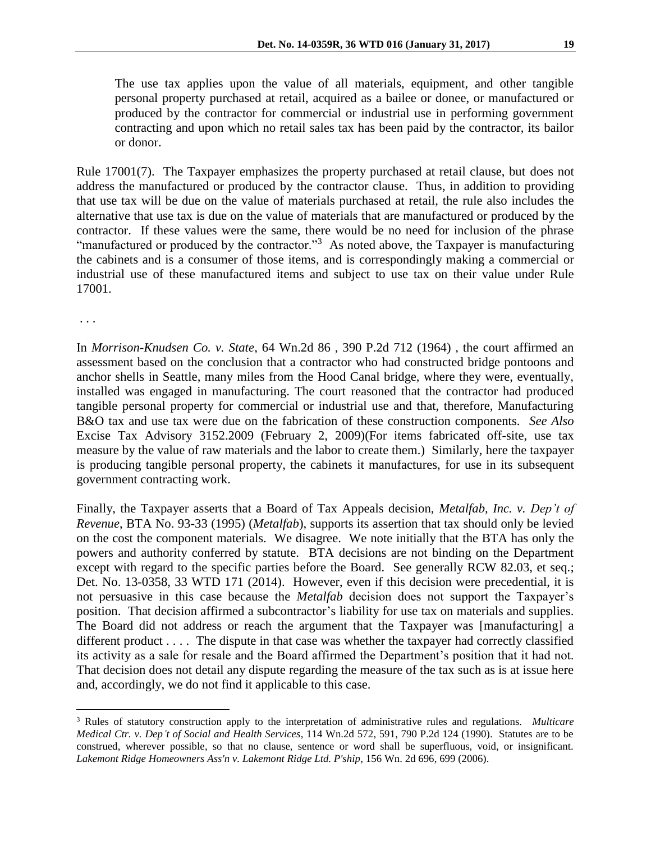The use tax applies upon the value of all materials, equipment, and other tangible personal property purchased at retail, acquired as a bailee or donee, or manufactured or produced by the contractor for commercial or industrial use in performing government contracting and upon which no retail sales tax has been paid by the contractor, its bailor or donor.

Rule 17001(7). The Taxpayer emphasizes the property purchased at retail clause, but does not address the manufactured or produced by the contractor clause. Thus, in addition to providing that use tax will be due on the value of materials purchased at retail, the rule also includes the alternative that use tax is due on the value of materials that are manufactured or produced by the contractor. If these values were the same, there would be no need for inclusion of the phrase "manufactured or produced by the contractor."<sup>3</sup> As noted above, the Taxpayer is manufacturing the cabinets and is a consumer of those items, and is correspondingly making a commercial or industrial use of these manufactured items and subject to use tax on their value under Rule 17001.

. . .

 $\overline{a}$ 

In *Morrison-Knudsen Co. v. State*, 64 Wn.2d 86 , 390 P.2d 712 (1964) , the court affirmed an assessment based on the conclusion that a contractor who had constructed bridge pontoons and anchor shells in Seattle, many miles from the Hood Canal bridge, where they were, eventually, installed was engaged in manufacturing. The court reasoned that the contractor had produced tangible personal property for commercial or industrial use and that, therefore, Manufacturing B&O tax and use tax were due on the fabrication of these construction components. *See Also* Excise Tax Advisory 3152.2009 (February 2, 2009)(For items fabricated off-site, use tax measure by the value of raw materials and the labor to create them.) Similarly, here the taxpayer is producing tangible personal property, the cabinets it manufactures, for use in its subsequent government contracting work.

Finally, the Taxpayer asserts that a Board of Tax Appeals decision, *Metalfab, Inc. v. Dep't of Revenue*, BTA No. 93-33 (1995) (*Metalfab*), supports its assertion that tax should only be levied on the cost the component materials. We disagree. We note initially that the BTA has only the powers and authority conferred by statute. BTA decisions are not binding on the Department except with regard to the specific parties before the Board. See generally RCW 82.03, et seq.; Det. No. 13-0358, 33 WTD 171 (2014). However, even if this decision were precedential, it is not persuasive in this case because the *Metalfab* decision does not support the Taxpayer's position. That decision affirmed a subcontractor's liability for use tax on materials and supplies. The Board did not address or reach the argument that the Taxpayer was [manufacturing] a different product . . . . The dispute in that case was whether the taxpayer had correctly classified its activity as a sale for resale and the Board affirmed the Department's position that it had not. That decision does not detail any dispute regarding the measure of the tax such as is at issue here and, accordingly, we do not find it applicable to this case.

<sup>3</sup> Rules of statutory construction apply to the interpretation of administrative rules and regulations. *Multicare Medical Ctr. v. Dep't of Social and Health Services*, 114 Wn.2d 572, 591, 790 P.2d 124 (1990). Statutes are to be construed, wherever possible, so that no clause, sentence or word shall be superfluous, void, or insignificant. *Lakemont Ridge Homeowners Ass'n v. Lakemont Ridge Ltd. P'ship*, 156 Wn. 2d 696, 699 (2006).